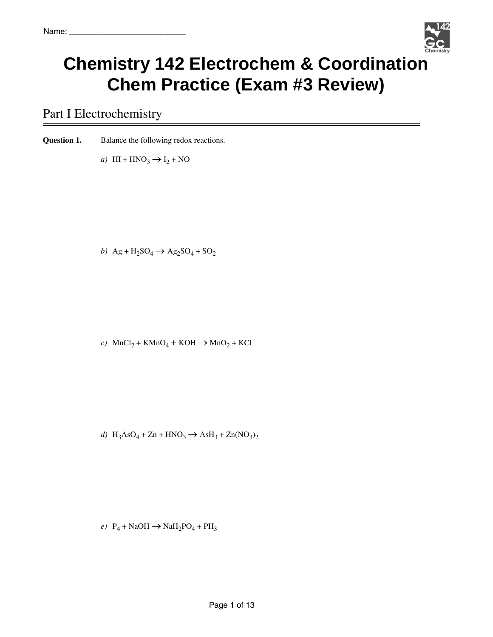

# **Chemistry 142 Electrochem & Coordination Chem Practice (Exam #3 Review)**

### Part I Electrochemistry

**Question 1.** Balance the following redox reactions.

*a*)  $HI + HNO<sub>3</sub> \rightarrow I<sub>2</sub> + NO$ 

*b*)  $Ag + H_2SO_4 \rightarrow Ag_2SO_4 + SO_2$ 

*c*)  $MnCl_2 + KMnO_4 + KOH \rightarrow MnO_2 + KCl$ 

*d*)  $H_3AsO_4 + Zn + HNO_3 \rightarrow AsH_3 + Zn(NO_3)_2$ 

*e*)  $P_4$  + NaOH  $\rightarrow$  NaH<sub>2</sub>PO<sub>4</sub> + PH<sub>3</sub>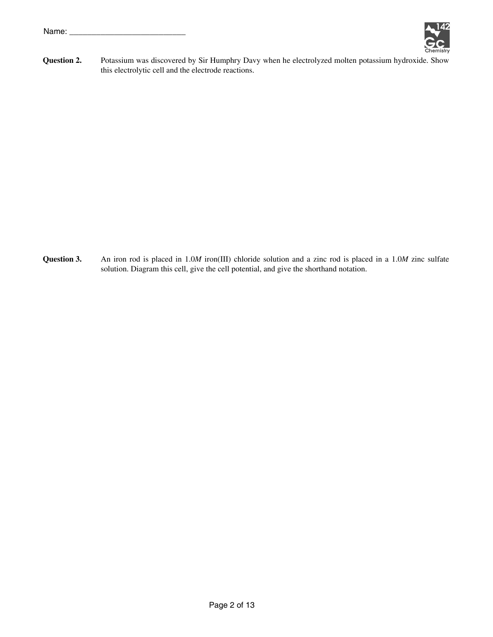

**Question 2.** Potassium was discovered by Sir Humphry Davy when he electrolyzed molten potassium hydroxide. Show this electrolytic cell and the electrode reactions.

**Question 3.** An iron rod is placed in 1.0*M* iron(III) chloride solution and a zinc rod is placed in a 1.0*M* zinc sulfate solution. Diagram this cell, give the cell potential, and give the shorthand notation.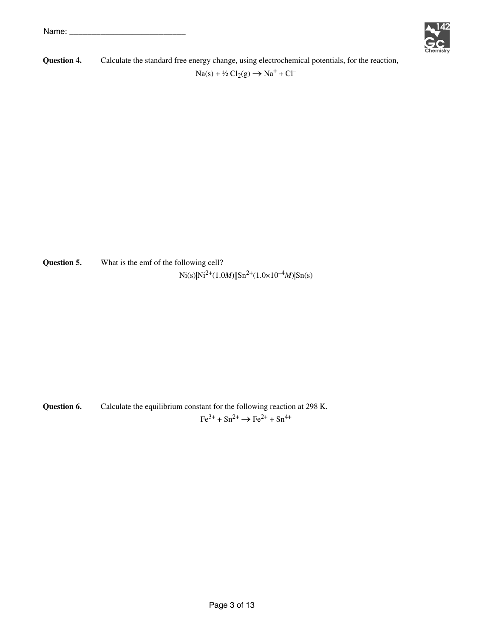

**Question 4.** Calculate the standard free energy change, using electrochemical potentials, for the reaction,  $Na(s) + \frac{1}{2}Cl_2(g) \rightarrow Na^+ + Cl^-$ 

**Question 5.** What is the emf of the following cell?  $Ni(s)|Ni^{2+}(1.0M)||Sn^{2+}(1.0\times10^{-4}M)|Sn(s)|$ 

**Question 6.** Calculate the equilibrium constant for the following reaction at 298 K.  $Fe^{3+} + Sn^{2+} \rightarrow Fe^{2+} + Sn^{4+}$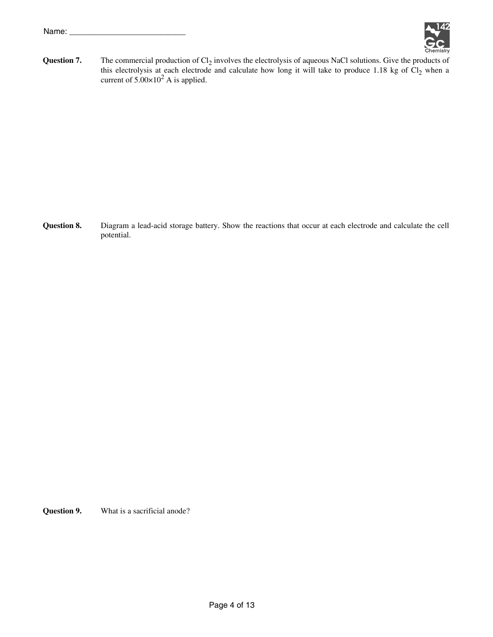

**Question 7.** The commercial production of  $Cl_2$  involves the electrolysis of aqueous NaCl solutions. Give the products of this electrolysis at each electrode and calculate how long it will take to produce 1.18 kg of  $Cl_2$  when a current of  $5.00\times10^2$  A is applied.

**Question 8.** Diagram a lead-acid storage battery. Show the reactions that occur at each electrode and calculate the cell potential.

**Question 9.** What is a sacrificial anode?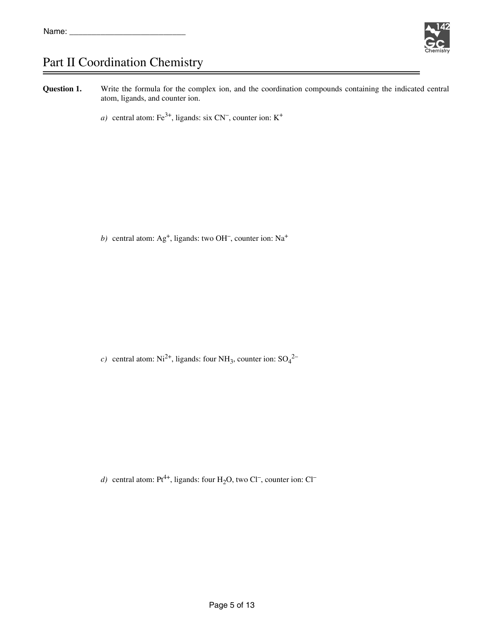

## Part II Coordination Chemistry

**Question 1.** Write the formula for the complex ion, and the coordination compounds containing the indicated central atom, ligands, and counter ion.

*a*) central atom:  $\text{Fe}^{3+}$ , ligands: six CN<sup>-</sup>, counter ion: K<sup>+</sup>

b) central atom:  $Ag^+$ , ligands: two OH<sup>-</sup>, counter ion: Na<sup>+</sup>

*c*) central atom:  $Ni^{2+}$ , ligands: four  $NH_3$ , counter ion:  $SO_4^{2-}$ 

*d*) central atom:  $Pt^{4+}$ , ligands: four  $H_2O$ , two Cl<sup>-</sup>, counter ion: Cl<sup>-</sup>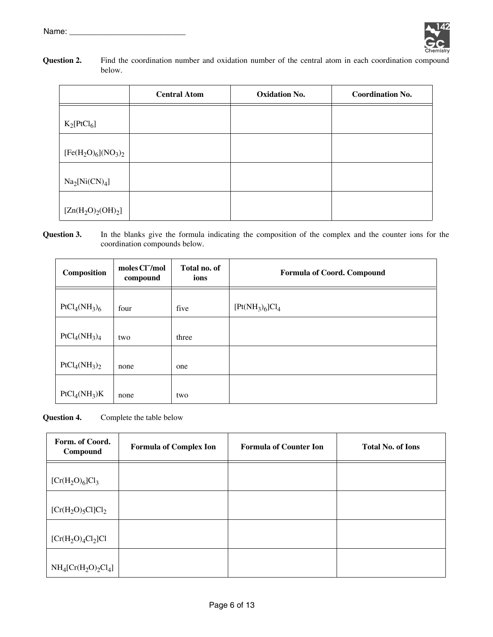

| Question 2. | Find the coordination number and oxidation number of the central atom in each coordination compound |
|-------------|-----------------------------------------------------------------------------------------------------|
|             | below.                                                                                              |

|                      | <b>Central Atom</b> | <b>Oxidation No.</b> | <b>Coordination No.</b> |
|----------------------|---------------------|----------------------|-------------------------|
| $K_2[PtCl_6]$        |                     |                      |                         |
| $[Fe(H2O)6](NO3)2$   |                     |                      |                         |
| $Na_2[Ni(CN)_4]$     |                     |                      |                         |
| $[Zn(H_2O)_2(OH)_2]$ |                     |                      |                         |

#### **Question 3.** In the blanks give the formula indicating the composition of the complex and the counter ions for the coordination compounds below.

| Composition      | moles Cl <sup>-/</sup> mol<br>compound | Total no. of<br>ions | <b>Formula of Coord. Compound</b> |
|------------------|----------------------------------------|----------------------|-----------------------------------|
| $PtCl_4(NH_3)_6$ | four                                   | five                 | $[Pt(NH_3)_6]Cl_4$                |
| $PtCl_4(NH_3)_4$ | two                                    | three                |                                   |
| $PtCl_4(NH_3)_2$ | none                                   | one                  |                                   |
| $PtCl_4(NH_3)K$  | none                                   | two                  |                                   |

#### **Question 4.** Complete the table below

| Form. of Coord.<br>Compound | <b>Formula of Complex Ion</b> | <b>Formula of Counter Ion</b> | <b>Total No. of Ions</b> |
|-----------------------------|-------------------------------|-------------------------------|--------------------------|
| $[Cr(H2O)6]Cl3$             |                               |                               |                          |
| $[Cr(H2O)5Cl]Cl2$           |                               |                               |                          |
| $[Cr(H2O)4Cl2]Cl$           |                               |                               |                          |
| $NH_4[Cr(H_2O)_2Cl_4]$      |                               |                               |                          |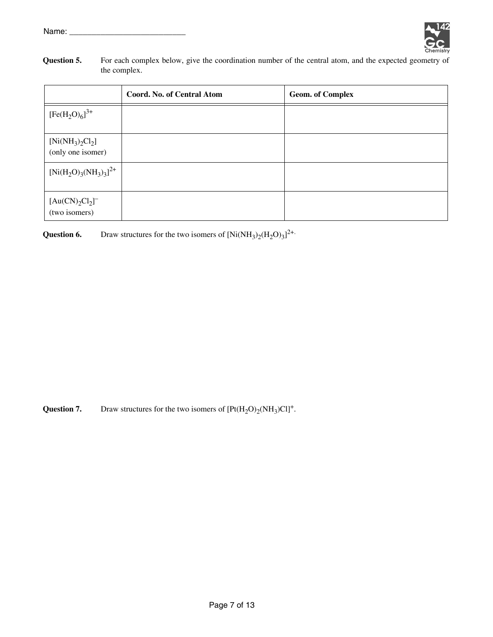

**Question 5.** For each complex below, give the coordination number of the central atom, and the expected geometry of the complex.

|                                               | <b>Coord. No. of Central Atom</b> | <b>Geom. of Complex</b> |
|-----------------------------------------------|-----------------------------------|-------------------------|
| $[Fe(H2O)6]$ <sup>3+</sup>                    |                                   |                         |
| $[Ni(NH_3)_2Cl_2]$<br>(only one isomer)       |                                   |                         |
| $[Ni(H_2O)_3(NH_3)_3]^{2+}$                   |                                   |                         |
| $[Au(CN)2Cl2$ ] <sup>-</sup><br>(two isomers) |                                   |                         |

**Question 6.** Draw structures for the two isomers of  $[Ni(NH_3)_2(H_2O)_3]^{2+1}$ .

**Question 7.** Draw structures for the two isomers of  $[Pt(H_2O)_2(NH_3)Cl]^+$ .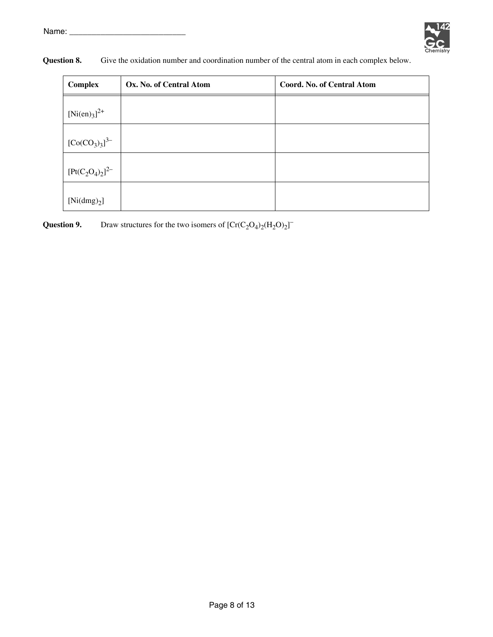

| <b>Complex</b>          | Ox. No. of Central Atom | <b>Coord. No. of Central Atom</b> |
|-------------------------|-------------------------|-----------------------------------|
| $[Ni(en)_3]^{2+}$       |                         |                                   |
| $[Co(CO3)3]3-$          |                         |                                   |
| $[Pt(C_2O_4)_2]^{2-}$   |                         |                                   |
| [Ni(dmg) <sub>2</sub> ] |                         |                                   |

**Question 9.** Draw structures for the two isomers of  $[Cr(C_2O_4)_2(H_2O)_2]$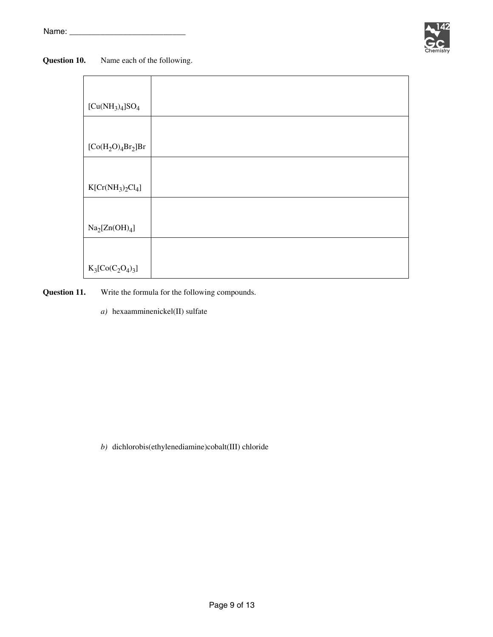

#### **Question 10.** Name each of the following.

| $[Cu(NH_3)_4]SO_4$                                                |  |
|-------------------------------------------------------------------|--|
|                                                                   |  |
| $[\mathrm{Co}(\mathrm{H}_2\mathrm{O})_4\mathrm{Br}_2]\mathrm{Br}$ |  |
|                                                                   |  |
| $\text{K}[\text{Cr}(\text{NH}_3)_2\text{Cl}_4]$                   |  |
|                                                                   |  |
| Na <sub>2</sub> [Zn(OH) <sub>4</sub> ]                            |  |
|                                                                   |  |
| $K_3[Co(C_2O_4)_3]$                                               |  |

**Question 11.** Write the formula for the following compounds.

*a)* hexaamminenickel(II) sulfate

*b)* dichlorobis(ethylenediamine)cobalt(III) chloride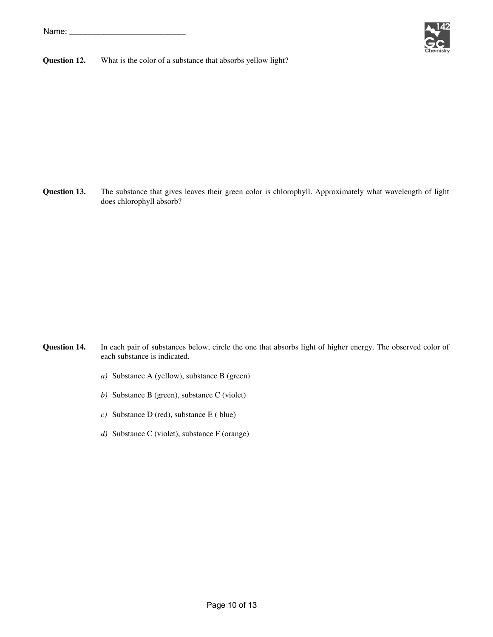

**Question 12.** What is the color of a substance that absorbs yellow light?

**Question 13.** The substance that gives leaves their green color is chlorophyll. Approximately what wavelength of light does chlorophyll absorb?

- **Question 14.** In each pair of substances below, circle the one that absorbs light of higher energy. The observed color of each substance is indicated.
	- *a)* Substance A (yellow), substance B (green)
	- *b)* Substance B (green), substance C (violet)
	- *c)* Substance D (red), substance E ( blue)
	- *d)* Substance C (violet), substance F (orange)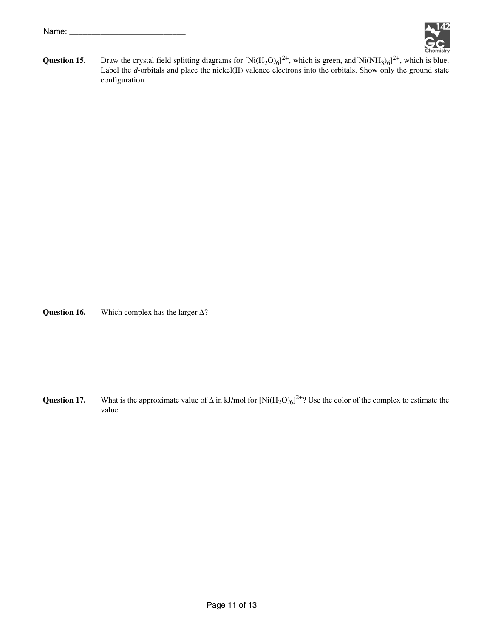

**Question 15.** Draw the crystal field splitting diagrams for  $[Ni(H_2O)_6]^2$ <sup>+</sup>, which is green, and $[Ni(NH_3)_6]^2$ <sup>+</sup>, which is blue. Label the *d*-orbitals and place the nickel(II) valence electrons into the orbitals. Show only the ground state configuration.

**Question 16.** Which complex has the larger Δ?

**Question 17.** What is the approximate value of  $\Delta$  in kJ/mol for  $[Ni(H_2O)_6]^{2+}$ ? Use the color of the complex to estimate the value.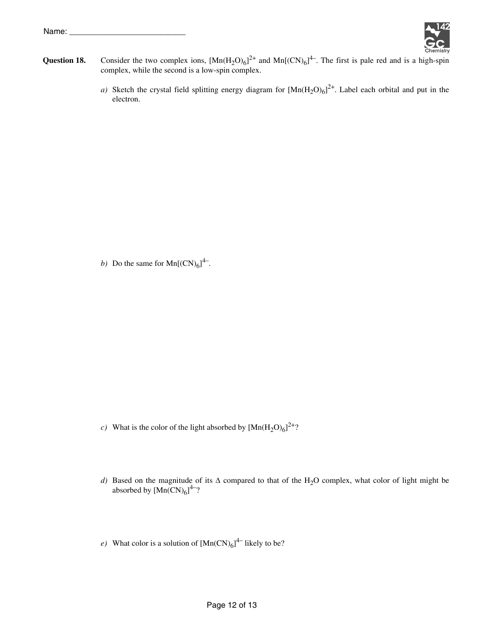

- **Question 18.** Consider the two complex ions,  $[Mn(H_2O)_6]^2$ <sup>+</sup> and  $Mn[(CN)_6]^4$ <sup>-</sup>. The first is pale red and is a high-spin complex, while the second is a low-spin complex.
	- *a*) Sketch the crystal field splitting energy diagram for  $[Mn(H_2O)_6]^{2+}$ . Label each orbital and put in the electron.

b) Do the same for  $\text{Mn}[\text{(CN)}_6]^{\text{4}-}.$ 

- *c*) What is the color of the light absorbed by  $[Mn(H_2O)_6]^{2+}$ ?
- *d*) Based on the magnitude of its Δ compared to that of the H<sub>2</sub>O complex, what color of light might be absorbed by  $[Mn(CN)_6]^{4-\gamma}$
- *e*) What color is a solution of  $[Mn(CN)_6]^{4-}$  likely to be?